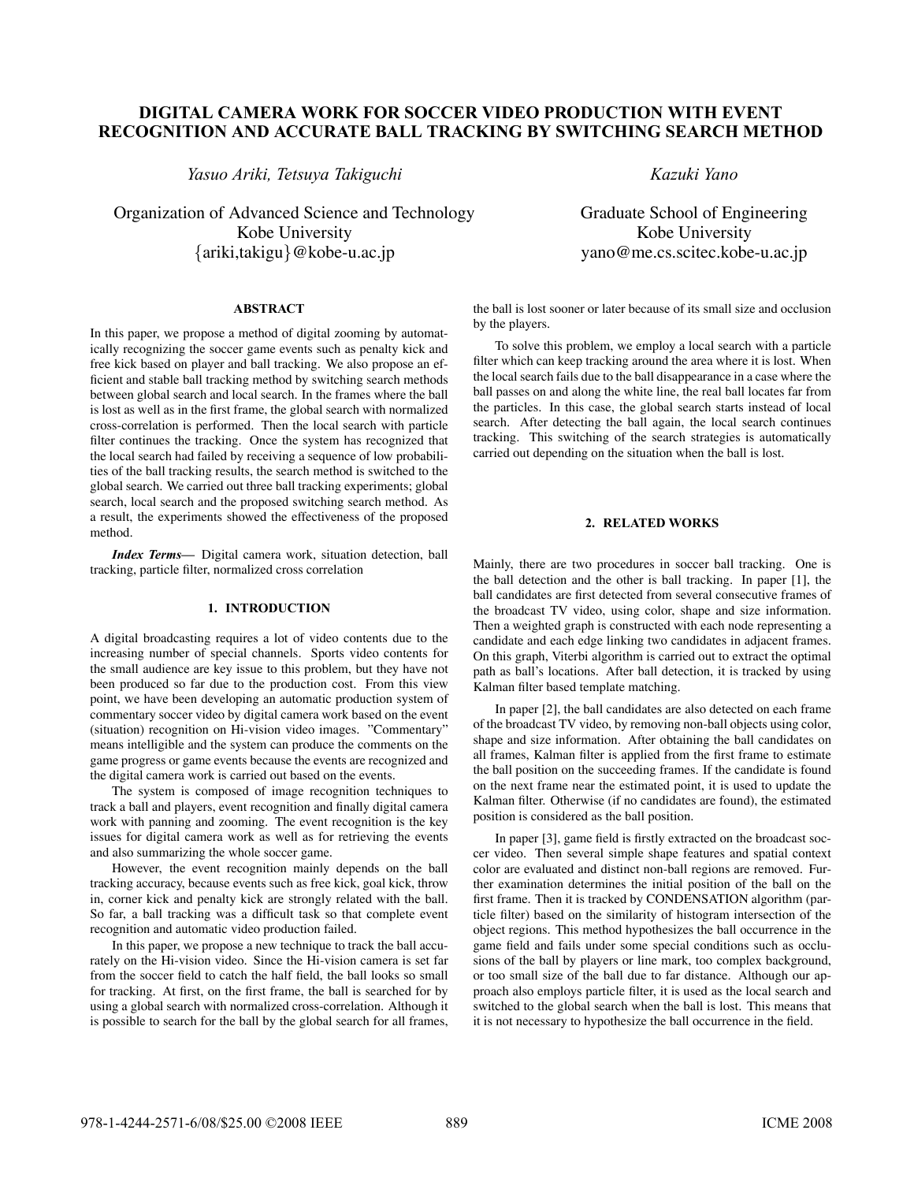# **DIGITAL CAMERA WORK FOR SOCCER VIDEO PRODUCTION WITH EVENT RECOGNITION AND ACCURATE BALL TRACKING BY SWITCHING SEARCH METHOD**

*Yasuo Ariki, Tetsuya Takiguchi*

Organization of Advanced Science and Technology Kobe University {ariki,takigu}@kobe-u.ac.jp

## **ABSTRACT**

In this paper, we propose a method of digital zooming by automatically recognizing the soccer game events such as penalty kick and free kick based on player and ball tracking. We also propose an efficient and stable ball tracking method by switching search methods between global search and local search. In the frames where the ball is lost as well as in the first frame, the global search with normalized cross-correlation is performed. Then the local search with particle filter continues the tracking. Once the system has recognized that the local search had failed by receiving a sequence of low probabilities of the ball tracking results, the search method is switched to the global search. We carried out three ball tracking experiments; global search, local search and the proposed switching search method. As a result, the experiments showed the effectiveness of the proposed method.

*Index Terms***—** Digital camera work, situation detection, ball tracking, particle filter, normalized cross correlation

## **1. INTRODUCTION**

A digital broadcasting requires a lot of video contents due to the increasing number of special channels. Sports video contents for the small audience are key issue to this problem, but they have not been produced so far due to the production cost. From this view point, we have been developing an automatic production system of commentary soccer video by digital camera work based on the event (situation) recognition on Hi-vision video images. "Commentary" means intelligible and the system can produce the comments on the game progress or game events because the events are recognized and the digital camera work is carried out based on the events.

The system is composed of image recognition techniques to track a ball and players, event recognition and finally digital camera work with panning and zooming. The event recognition is the key issues for digital camera work as well as for retrieving the events and also summarizing the whole soccer game.

However, the event recognition mainly depends on the ball tracking accuracy, because events such as free kick, goal kick, throw in, corner kick and penalty kick are strongly related with the ball. So far, a ball tracking was a difficult task so that complete event recognition and automatic video production failed.

In this paper, we propose a new technique to track the ball accurately on the Hi-vision video. Since the Hi-vision camera is set far from the soccer field to catch the half field, the ball looks so small for tracking. At first, on the first frame, the ball is searched for by using a global search with normalized cross-correlation. Although it is possible to search for the ball by the global search for all frames, *Kazuki Yano*

Graduate School of Engineering Kobe University yano@me.cs.scitec.kobe-u.ac.jp

the ball is lost sooner or later because of its small size and occlusion by the players.

To solve this problem, we employ a local search with a particle filter which can keep tracking around the area where it is lost. When the local search fails due to the ball disappearance in a case where the ball passes on and along the white line, the real ball locates far from the particles. In this case, the global search starts instead of local search. After detecting the ball again, the local search continues tracking. This switching of the search strategies is automatically carried out depending on the situation when the ball is lost.

## **2. RELATED WORKS**

Mainly, there are two procedures in soccer ball tracking. One is the ball detection and the other is ball tracking. In paper [1], the ball candidates are first detected from several consecutive frames of the broadcast TV video, using color, shape and size information. Then a weighted graph is constructed with each node representing a candidate and each edge linking two candidates in adjacent frames. On this graph, Viterbi algorithm is carried out to extract the optimal path as ball's locations. After ball detection, it is tracked by using Kalman filter based template matching.

In paper [2], the ball candidates are also detected on each frame of the broadcast TV video, by removing non-ball objects using color, shape and size information. After obtaining the ball candidates on all frames, Kalman filter is applied from the first frame to estimate the ball position on the succeeding frames. If the candidate is found on the next frame near the estimated point, it is used to update the Kalman filter. Otherwise (if no candidates are found), the estimated position is considered as the ball position.

In paper [3], game field is firstly extracted on the broadcast soccer video. Then several simple shape features and spatial context color are evaluated and distinct non-ball regions are removed. Further examination determines the initial position of the ball on the first frame. Then it is tracked by CONDENSATION algorithm (particle filter) based on the similarity of histogram intersection of the object regions. This method hypothesizes the ball occurrence in the game field and fails under some special conditions such as occlusions of the ball by players or line mark, too complex background, or too small size of the ball due to far distance. Although our approach also employs particle filter, it is used as the local search and switched to the global search when the ball is lost. This means that it is not necessary to hypothesize the ball occurrence in the field.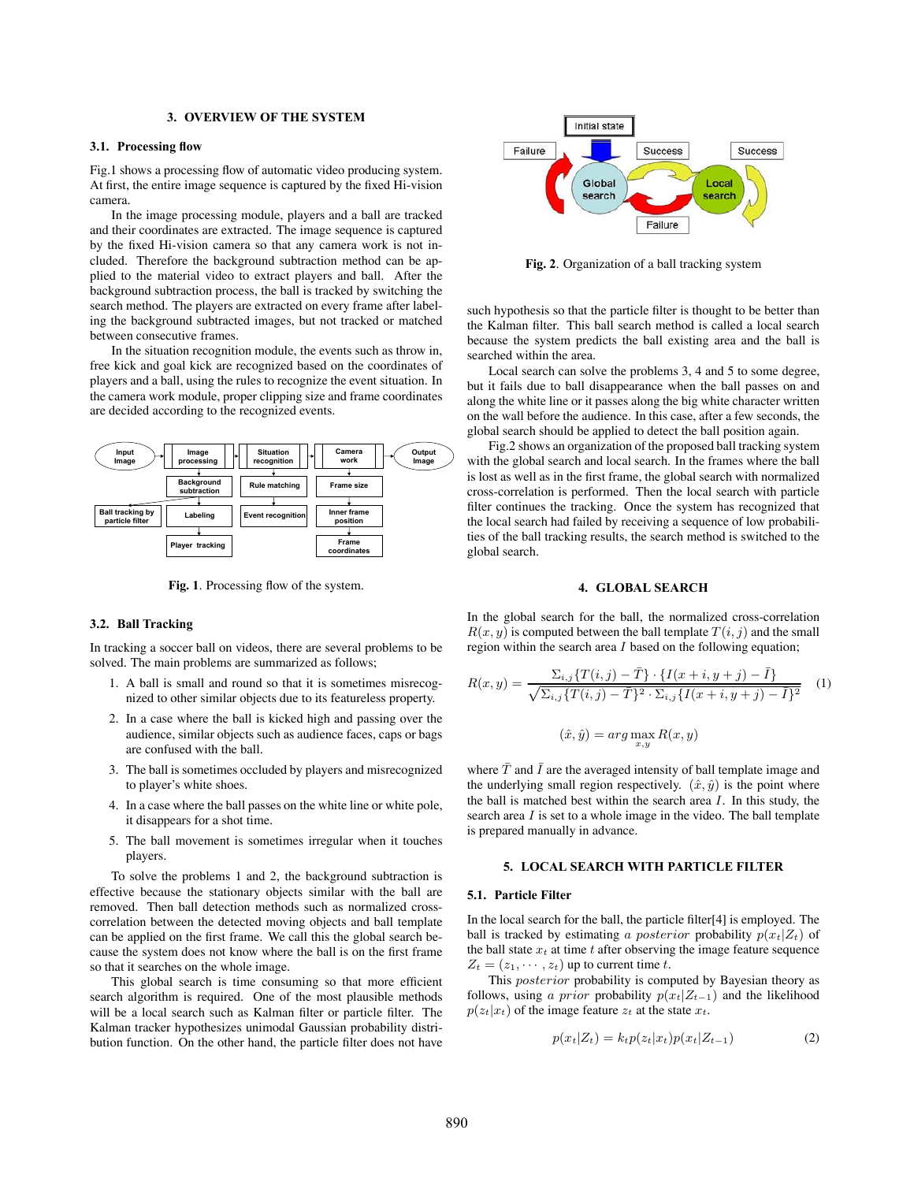#### **3. OVERVIEW OF THE SYSTEM**

## **3.1. Processing flow**

Fig.1 shows a processing flow of automatic video producing system. At first, the entire image sequence is captured by the fixed Hi-vision camera.

In the image processing module, players and a ball are tracked and their coordinates are extracted. The image sequence is captured by the fixed Hi-vision camera so that any camera work is not included. Therefore the background subtraction method can be applied to the material video to extract players and ball. After the background subtraction process, the ball is tracked by switching the search method. The players are extracted on every frame after labeling the background subtracted images, but not tracked or matched between consecutive frames.

In the situation recognition module, the events such as throw in, free kick and goal kick are recognized based on the coordinates of players and a ball, using the rules to recognize the event situation. In the camera work module, proper clipping size and frame coordinates are decided according to the recognized events.



**Fig. 1**. Processing flow of the system.

## **3.2. Ball Tracking**

In tracking a soccer ball on videos, there are several problems to be solved. The main problems are summarized as follows;

- 1. A ball is small and round so that it is sometimes misrecognized to other similar objects due to its featureless property.
- 2. In a case where the ball is kicked high and passing over the audience, similar objects such as audience faces, caps or bags are confused with the ball.
- 3. The ball is sometimes occluded by players and misrecognized to player's white shoes.
- 4. In a case where the ball passes on the white line or white pole, it disappears for a shot time.
- 5. The ball movement is sometimes irregular when it touches players.

To solve the problems 1 and 2, the background subtraction is effective because the stationary objects similar with the ball are removed. Then ball detection methods such as normalized crosscorrelation between the detected moving objects and ball template can be applied on the first frame. We call this the global search because the system does not know where the ball is on the first frame so that it searches on the whole image.

This global search is time consuming so that more efficient search algorithm is required. One of the most plausible methods will be a local search such as Kalman filter or particle filter. The Kalman tracker hypothesizes unimodal Gaussian probability distribution function. On the other hand, the particle filter does not have



**Fig. 2**. Organization of a ball tracking system

such hypothesis so that the particle filter is thought to be better than the Kalman filter. This ball search method is called a local search because the system predicts the ball existing area and the ball is searched within the area.

Local search can solve the problems 3, 4 and 5 to some degree, but it fails due to ball disappearance when the ball passes on and along the white line or it passes along the big white character written on the wall before the audience. In this case, after a few seconds, the global search should be applied to detect the ball position again.

Fig.2 shows an organization of the proposed ball tracking system with the global search and local search. In the frames where the ball is lost as well as in the first frame, the global search with normalized cross-correlation is performed. Then the local search with particle filter continues the tracking. Once the system has recognized that the local search had failed by receiving a sequence of low probabilities of the ball tracking results, the search method is switched to the global search.

#### **4. GLOBAL SEARCH**

In the global search for the ball, the normalized cross-correlation  $R(x, y)$  is computed between the ball template  $T(i, j)$  and the small region within the search area  $I$  based on the following equation;

$$
R(x,y) = \frac{\sum_{i,j} \{T(i,j) - \bar{T}\} \cdot \{I(x+i, y+j) - \bar{I}\}}{\sqrt{\sum_{i,j} \{T(i,j) - \bar{T}\}^2 \cdot \sum_{i,j} \{I(x+i, y+j) - \bar{I}\}^2}}
$$
(1)  

$$
(\hat{x}, \hat{y}) = \arg \max_{x,y} R(x,y)
$$

where  $\bar{T}$  and  $\bar{I}$  are the averaged intensity of ball template image and the underlying small region respectively.  $(\hat{x}, \hat{y})$  is the point where the ball is matched best within the search area  $I$ . In this study, the search area  $I$  is set to a whole image in the video. The ball template is prepared manually in advance.

#### **5. LOCAL SEARCH WITH PARTICLE FILTER**

#### **5.1. Particle Filter**

In the local search for the ball, the particle filter[4] is employed. The ball is tracked by estimating a posterior probability  $p(x_t|Z_t)$  of the ball state  $x_t$  at time t after observing the image feature sequence  $Z_t = (z_1, \dots, z_t)$  up to current time t.

This posterior probability is computed by Bayesian theory as follows, using a prior probability  $p(x_t|Z_{t-1})$  and the likelihood  $p(z_t|x_t)$  of the image feature  $z_t$  at the state  $x_t$ .

$$
p(xt|Zt) = ktp(zt|xt)p(xt|Zt-1)
$$
\n(2)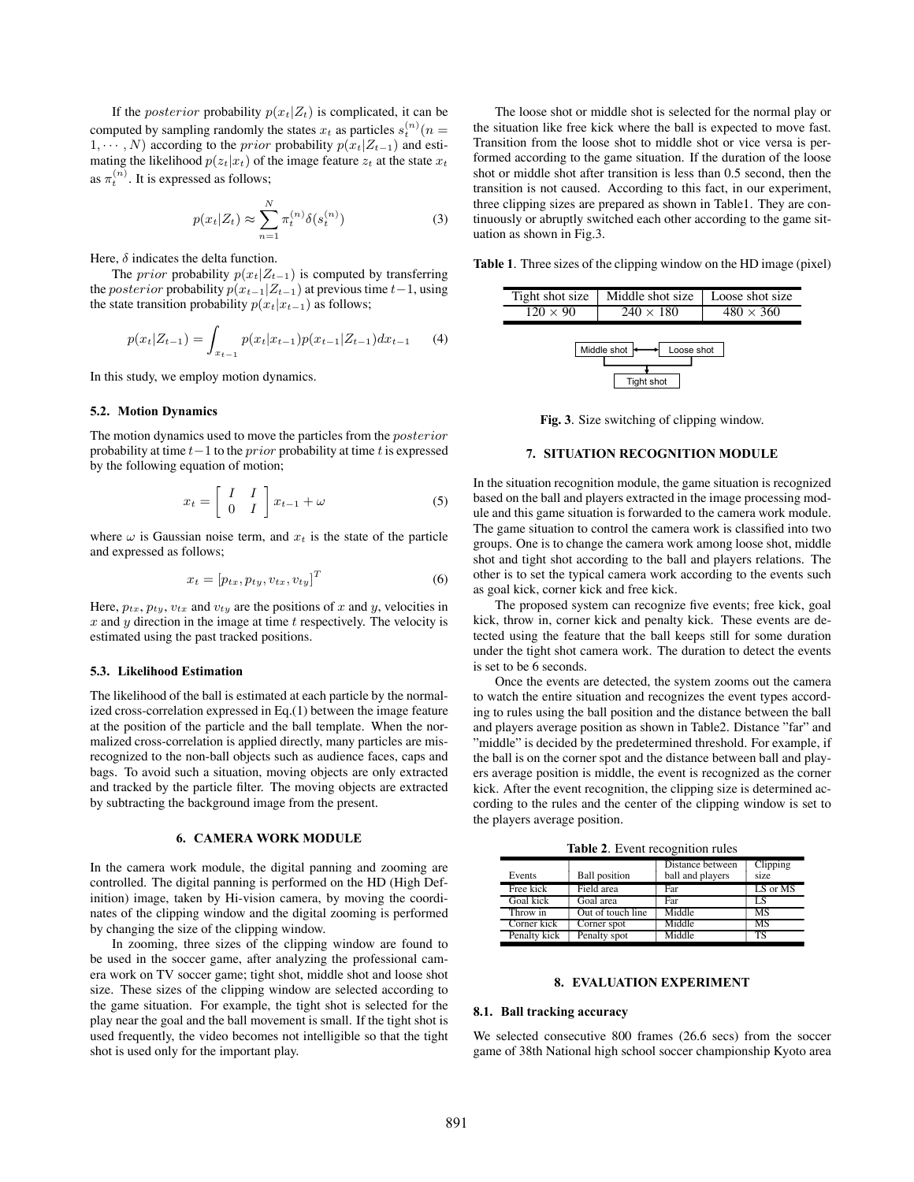If the *posterior* probability  $p(x_t|Z_t)$  is complicated, it can be computed by sampling randomly the states  $x_t$  as particles  $s_t^{(n)}(n =$  $1, \cdots, N$ ) according to the *prior* probability  $p(x_t|Z_{t-1})$  and estimating the likelihood  $p(z_t|x_t)$  of the image feature  $z_t$  at the state  $x_t$ as  $\pi_t^{(n)}$ . It is expressed as follows;

$$
p(x_t|Z_t) \approx \sum_{n=1}^{N} \pi_t^{(n)} \delta(s_t^{(n)})
$$
\n(3)

Here,  $\delta$  indicates the delta function.

The *prior* probability  $p(x_t|Z_{t-1})$  is computed by transferring the *posterior* probability  $p(x_{t-1}|Z_{t-1})$  at previous time  $t-1$ , using the state transition probability  $p(x_t|x_{t-1})$  as follows;

$$
p(x_t|Z_{t-1}) = \int_{x_{t-1}} p(x_t|x_{t-1})p(x_{t-1}|Z_{t-1})dx_{t-1} \qquad (4)
$$

In this study, we employ motion dynamics.

#### **5.2. Motion Dynamics**

The motion dynamics used to move the particles from the posterior probability at time  $t-1$  to the *prior* probability at time t is expressed by the following equation of motion;

$$
x_t = \begin{bmatrix} I & I \\ 0 & I \end{bmatrix} x_{t-1} + \omega \tag{5}
$$

where  $\omega$  is Gaussian noise term, and  $x_t$  is the state of the particle and expressed as follows;

$$
x_t = [p_{tx}, p_{ty}, v_{tx}, v_{ty}]^T
$$
 (6)

Here,  $p_{tx}$ ,  $p_{ty}$ ,  $v_{tx}$  and  $v_{ty}$  are the positions of x and y, velocities in  $x$  and  $y$  direction in the image at time  $t$  respectively. The velocity is estimated using the past tracked positions.

#### **5.3. Likelihood Estimation**

The likelihood of the ball is estimated at each particle by the normalized cross-correlation expressed in Eq.(1) between the image feature at the position of the particle and the ball template. When the normalized cross-correlation is applied directly, many particles are misrecognized to the non-ball objects such as audience faces, caps and bags. To avoid such a situation, moving objects are only extracted and tracked by the particle filter. The moving objects are extracted by subtracting the background image from the present.

#### **6. CAMERA WORK MODULE**

In the camera work module, the digital panning and zooming are controlled. The digital panning is performed on the HD (High Definition) image, taken by Hi-vision camera, by moving the coordinates of the clipping window and the digital zooming is performed by changing the size of the clipping window.

In zooming, three sizes of the clipping window are found to be used in the soccer game, after analyzing the professional camera work on TV soccer game; tight shot, middle shot and loose shot size. These sizes of the clipping window are selected according to the game situation. For example, the tight shot is selected for the play near the goal and the ball movement is small. If the tight shot is used frequently, the video becomes not intelligible so that the tight shot is used only for the important play.

The loose shot or middle shot is selected for the normal play or the situation like free kick where the ball is expected to move fast. Transition from the loose shot to middle shot or vice versa is performed according to the game situation. If the duration of the loose shot or middle shot after transition is less than 0.5 second, then the transition is not caused. According to this fact, in our experiment, three clipping sizes are prepared as shown in Table1. They are continuously or abruptly switched each other according to the game situation as shown in Fig.3.

**Table 1**. Three sizes of the clipping window on the HD image (pixel)

| Tight shot size | Middle shot size | Loose shot size  |
|-----------------|------------------|------------------|
| $120 \times 90$ | $240 \times 180$ | $480 \times 360$ |
|                 |                  |                  |

| Middle shot       | Loose shot |  |  |  |
|-------------------|------------|--|--|--|
|                   |            |  |  |  |
| <b>Tight shot</b> |            |  |  |  |

**Fig. 3**. Size switching of clipping window.

## **7. SITUATION RECOGNITION MODULE**

In the situation recognition module, the game situation is recognized based on the ball and players extracted in the image processing module and this game situation is forwarded to the camera work module. The game situation to control the camera work is classified into two groups. One is to change the camera work among loose shot, middle shot and tight shot according to the ball and players relations. The other is to set the typical camera work according to the events such as goal kick, corner kick and free kick.

The proposed system can recognize five events; free kick, goal kick, throw in, corner kick and penalty kick. These events are detected using the feature that the ball keeps still for some duration under the tight shot camera work. The duration to detect the events is set to be 6 seconds.

Once the events are detected, the system zooms out the camera to watch the entire situation and recognizes the event types according to rules using the ball position and the distance between the ball and players average position as shown in Table2. Distance "far" and "middle" is decided by the predetermined threshold. For example, if the ball is on the corner spot and the distance between ball and players average position is middle, the event is recognized as the corner kick. After the event recognition, the clipping size is determined according to the rules and the center of the clipping window is set to the players average position.

**Table 2**. Event recognition rules

| Events       | <b>Ball</b> position | Distance between<br>ball and players | Clipping<br>size |
|--------------|----------------------|--------------------------------------|------------------|
| Free kick    | Field area           | Far                                  | LS or MS         |
| Goal kick    | Goal area            | Far                                  | LS               |
| Throw in     | Out of touch line    | Middle                               | MS               |
| Corner kick  | Corner spot          | Middle                               | MS               |
| Penalty kick | Penalty spot         | Middle                               | TS               |

## **8. EVALUATION EXPERIMENT**

#### **8.1. Ball tracking accuracy**

We selected consecutive 800 frames (26.6 secs) from the soccer game of 38th National high school soccer championship Kyoto area